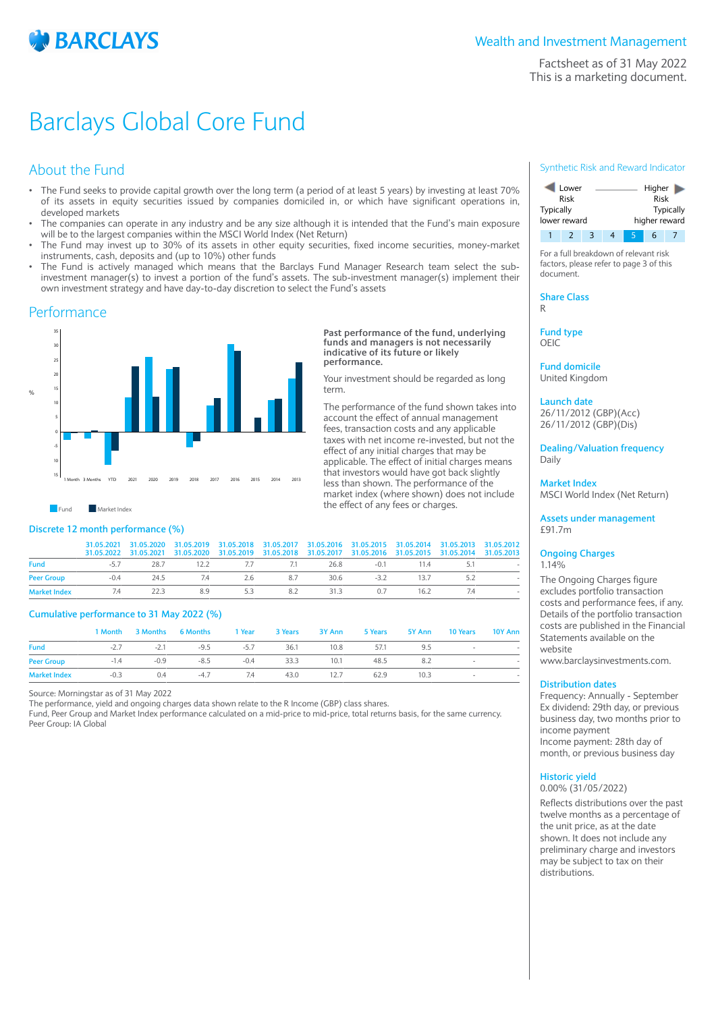

Factsheet as of 31 May 2022 This is a marketing document.

## Barclays Global Core Fund

## About the Fund

- The Fund seeks to provide capital growth over the long term (a period of at least 5 years) by investing at least 70% of its assets in equity securities issued by companies domiciled in, or which have significant operations in, developed markets
- The companies can operate in any industry and be any size although it is intended that the Fund's main exposure will be to the largest companies within the MSCI World Index (Net Return)
- The Fund may invest up to 30% of its assets in other equity securities, fixed income securities, money-market instruments, cash, deposits and (up to 10%) other funds
- The Fund is actively managed which means that the Barclays Fund Manager Research team select the subinvestment manager(s) to invest a portion of the fund's assets. The sub-investment manager(s) implement their own investment strategy and have day-to-day discretion to select the Fund's assets

### Performance



**Past performance of the fund, underlying funds and managers is not necessarily indicative of its future or likely performance.**

Your investment should be regarded as long term.

The performance of the fund shown takes into account the effect of annual management fees. transaction costs and any applicable taxes with net income re-invested, but not the effect of any initial charges that may be applicable. The effect of initial charges means that investors would have got back slightly less than shown. The performance of the market index (where shown) does not include the effect of any fees or charges.

 $\blacksquare$  Market Index

### **Discrete 12 month performance (%)**

|             |                                           |  |  |  | 31.05.2021 31.05.2020 31.05.2019 31.05.2018 31.05.2017 31.05.2016 31.05.2015 31.05.2014 31.05.2013 31.05.2012<br>31.05.2022 31.05.2021 31.05.2020 31.05.2019 31.05.2018 31.05.2017 31.05.2016 31.05.2015 31.05.2014 31.05.2013 |  |
|-------------|-------------------------------------------|--|--|--|--------------------------------------------------------------------------------------------------------------------------------------------------------------------------------------------------------------------------------|--|
| <b>Fund</b> | -5.7 28.7 12.2 7.7 7.1 26.8 -0.1 11.4 5.1 |  |  |  |                                                                                                                                                                                                                                |  |
|             |                                           |  |  |  |                                                                                                                                                                                                                                |  |

**Market Index** 7.4 22.3 8.9 5.3 8.2 31.3 0.7 16.2 7.4 -

#### **Cumulative performance to 31 May 2022 (%)**

|                     |        |               | 1 Month 3 Months 6 Months 1 Year 3 Years 3 Y Ann 5 Years 5 Y Ann 10 Years 10 Y Ann |  |           |      |          |                           |  |
|---------------------|--------|---------------|------------------------------------------------------------------------------------|--|-----------|------|----------|---------------------------|--|
| <b>Fund</b>         |        | $-2.7$        | -2.1 -9.5 -5.7 36.1 10.8 57.1                                                      |  |           |      | 9.5      | and the state of the con- |  |
| <b>Peer Group</b>   |        | $-1.4$ $-0.9$ | $-8.5$ $-0.4$ $33.3$ $10.1$                                                        |  |           |      | 48.5 8.2 | <b>State Street</b>       |  |
| <b>Market Index</b> | $-0.3$ | 0.4           | $-4.7$ 7.4                                                                         |  | 43.0 12.7 | 62.9 | 10.3     | <b>110</b>                |  |

Source: Morningstar as of 31 May 2022

The performance, yield and ongoing charges data shown relate to the R Income (GBP) class shares.

Fund, Peer Group and Market Index performance calculated on a mid-price to mid-price, total returns basis, for the same currency. Peer Group: IA Global

#### Synthetic Risk and Reward Indicator



For a full breakdown of relevant risk factors, please refer to page 3 of this document.

**Share Class** R

**Fund type**

OEIC

**Fund domicile** United Kingdom

#### **Launch date** 26/11/2012 (GBP)(Acc)

26/11/2012 (GBP)(Dis)

**Dealing/Valuation frequency** Daily

**Market Index** MSCI World Index (Net Return)

**Assets under management** £91.7m

#### **Ongoing Charges** 1.14%

The Ongoing Charges figure excludes portfolio transaction costs and performance fees, if any. Details of the portfolio transaction costs are published in the Financial Statements available on the website

www.barclaysinvestments.com.

#### **Distribution dates**

Frequency: Annually - September Ex dividend: 29th day, or previous business day, two months prior to income payment Income payment: 28th day of month, or previous business day

#### **Historic yield**

0.00% (31/05/2022)

Reflects distributions over the past twelve months as a percentage of the unit price, as at the date shown. It does not include any preliminary charge and investors may be subject to tax on their distributions.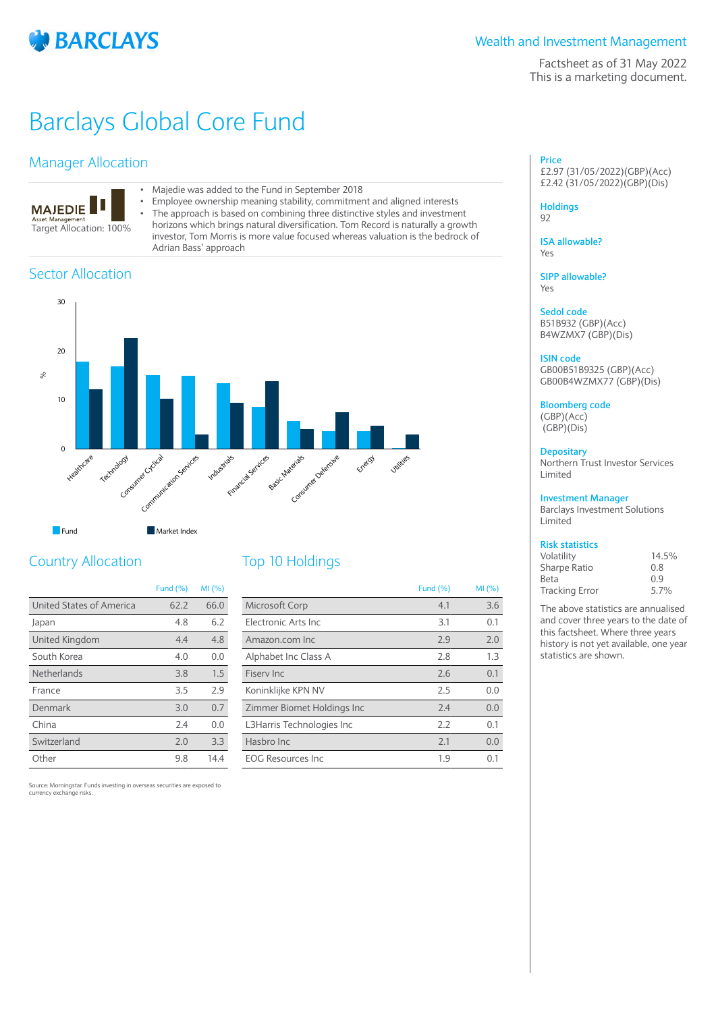

### Wealth and Investment Management

Factsheet as of 31 May 2022 This is a marketing document.

## Barclays Global Core Fund

## Manager Allocation



- Majedie was added to the Fund in September 2018<br>• Employee ownership meaning stability, commitmer
- Employee ownership meaning stability, commitment and aligned interests<br>• The approach is based on combining three distinctive styles and investment
	- The approach is based on combining three distinctive styles and investment horizons which brings natural diversification. Tom Record is naturally a growth investor, Tom Morris is more value focused whereas valuation is the bedrock of Adrian Bass' approach

## Sector Allocation



| Fund | Market Index |
|------|--------------|
|      |              |

## Country Allocation

|                          | <b>Fund (%)</b> | MI(%) |
|--------------------------|-----------------|-------|
| United States of America | 62.2            | 66.0  |
| Japan                    | 4.8             | 6.2   |
| United Kingdom           | 4.4             | 4.8   |
| South Korea              | 4.0             | 0.0   |
| Netherlands              | 3.8             | 1.5   |
| France                   | 3.5             | 2.9   |
| Denmark                  | 3.0             | 0.7   |
| China                    | 7.4             | 0.0   |
| Switzerland              | 2.0             | 3.3   |
| Other                    | 9.8             | 14.4  |

## Top 10 Holdings

|                            | <b>Fund (%)</b> | MI (%) |
|----------------------------|-----------------|--------|
| Microsoft Corp             | 4.1             | 3.6    |
| Electronic Arts Inc.       | 3.1             | 0.1    |
| Amazon.com Inc             | 2.9             | 2.0    |
| Alphabet Inc Class A       | 2.8             | 1.3    |
| Fisery Inc.                | 2.6             | 0.1    |
| Koninklijke KPN NV         | 2.5             | 0.0    |
| Zimmer Biomet Holdings Inc | 7.4             | 0.0    |
| L3Harris Technologies Inc  | 2.2             | 0.1    |
| Hasbro Inc.                | 2.1             | 0.0    |
| <b>EOG Resources Inc.</b>  | 1.9             | 0.1    |

Source: Morningstar. Funds investing in overseas securities are exposed to currency exchange risks.

#### **Price** £2.97 (31/05/2022)(GBP)(Acc) £2.42 (31/05/2022)(GBP)(Dis)

#### **Holdings** 92

**ISA allowable?** Yes

**SIPP allowable?** Yes

#### **Sedol code**

B51B932 (GBP)(Acc) B4WZMX7 (GBP)(Dis)

#### **ISIN code**

GB00B51B9325 (GBP)(Acc) GB00B4WZMX77 (GBP)(Dis)

**Bloomberg code** (GBP)(Acc) (GBP)(Dis)

## **Depositary**

Northern Trust Investor Services Limited

#### **Investment Manager**

Barclays Investment Solutions Limited

## **Risk statistics**

| Volatility            | 14.5% |
|-----------------------|-------|
| Sharpe Ratio          | 0.8   |
| Beta                  | 0.9   |
| <b>Tracking Error</b> | 5.7%  |

The above statistics are annualised and cover three years to the date of this factsheet. Where three years history is not yet available, one year statistics are shown.